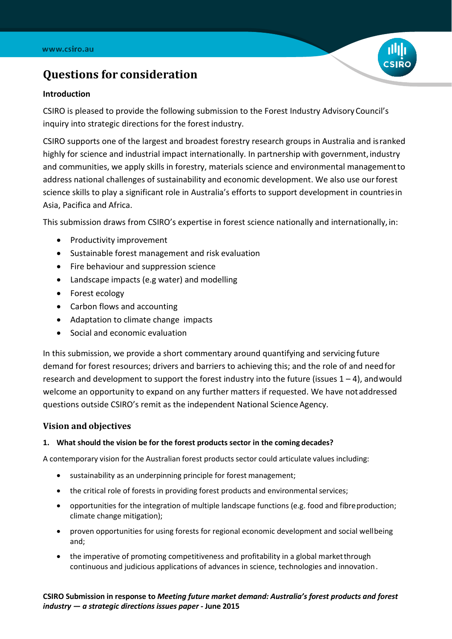

# **Questions for consideration**

#### **Introduction**

CSIRO is pleased to provide the following submission to the Forest Industry AdvisoryCouncil's inquiry into strategic directions for the forest industry.

CSIRO supports one of the largest and broadest forestry research groups in Australia and isranked highly for science and industrial impact internationally. In partnership with government, industry and communities, we apply skills in forestry, materials science and environmental managementto address national challenges of sustainability and economic development. We also use ourforest science skills to play a significant role in Australia's efforts to support development in countriesin Asia, Pacifica and Africa.

This submission draws from CSIRO's expertise in forest science nationally and internationally, in:

- Productivity improvement
- Sustainable forest management and risk evaluation
- Fire behaviour and suppression science
- Landscape impacts (e.g water) and modelling
- Forest ecology
- Carbon flows and accounting
- Adaptation to climate change impacts
- Social and economic evaluation

In this submission, we provide a short commentary around quantifying and servicing future demand for forest resources; drivers and barriers to achieving this; and the role of and needfor research and development to support the forest industry into the future (issues  $1 - 4$ ), and would welcome an opportunity to expand on any further matters if requested. We have notaddressed questions outside CSIRO's remit as the independent National Science Agency.

#### **Vision and objectives**

#### **1. What should the vision be for the forest products sector in the coming decades?**

A contemporary vision for the Australian forest products sector could articulate values including:

- sustainability as an underpinning principle for forest management;
- the critical role of forests in providing forest products and environmental services;
- opportunities for the integration of multiple landscape functions (e.g. food and fibre production; climate change mitigation);
- proven opportunities for using forests for regional economic development and social wellbeing and;
- the imperative of promoting competitiveness and profitability in a global market through continuous and judicious applications of advances in science, technologies and innovation.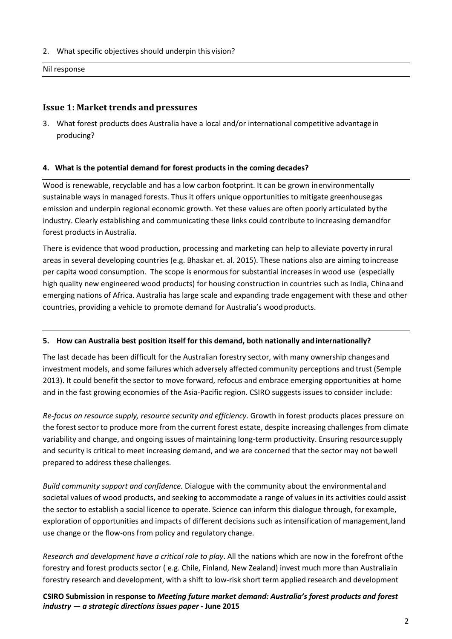2. What specific objectives should underpin this vision?

Nil response

### **Issue 1: Market trends and pressures**

3. What forest products does Australia have a local and/or international competitive advantagein producing?

#### **4. What is the potential demand for forest products in the coming decades?**

Wood is renewable, recyclable and has a low carbon footprint. It can be grown inenvironmentally sustainable ways in managed forests. Thus it offers unique opportunities to mitigate greenhousegas emission and underpin regional economic growth. Yet these values are often poorly articulated bythe industry. Clearly establishing and communicating these links could contribute to increasing demandfor forest products in Australia.

There is evidence that wood production, processing and marketing can help to alleviate poverty inrural areas in several developing countries (e.g. Bhaskar et. al. 2015). These nations also are aiming toincrease per capita wood consumption. The scope is enormous for substantial increases in wood use (especially high quality new engineered wood products) for housing construction in countries such as India, Chinaand emerging nations of Africa. Australia has large scale and expanding trade engagement with these and other countries, providing a vehicle to promote demand for Australia's woodproducts.

#### **5. How can Australia best position itself for this demand, both nationally andinternationally?**

The last decade has been difficult for the Australian forestry sector, with many ownership changesand investment models, and some failures which adversely affected community perceptions and trust (Semple 2013). It could benefit the sector to move forward, refocus and embrace emerging opportunities at home and in the fast growing economies of the Asia-Pacific region. CSIRO suggests issues to consider include:

*Re-focus on resource supply, resource security and efficiency*. Growth in forest products places pressure on the forest sector to produce more from the current forest estate, despite increasing challenges from climate variability and change, and ongoing issues of maintaining long-term productivity. Ensuring resourcesupply and security is critical to meet increasing demand, and we are concerned that the sector may not bewell prepared to address these challenges.

*Build community support and confidence.* Dialogue with the community about the environmental and societal values of wood products, and seeking to accommodate a range of values in its activities could assist the sector to establish a social licence to operate. Science can inform this dialogue through, forexample, exploration of opportunities and impacts of different decisions such as intensification of management,land use change or the flow-ons from policy and regulatory change.

*Research and development have a critical role to play*. All the nations which are now in the forefront ofthe forestry and forest products sector ( e.g. Chile, Finland, New Zealand) invest much more than Australiain forestry research and development, with a shift to low-risk short term applied research and development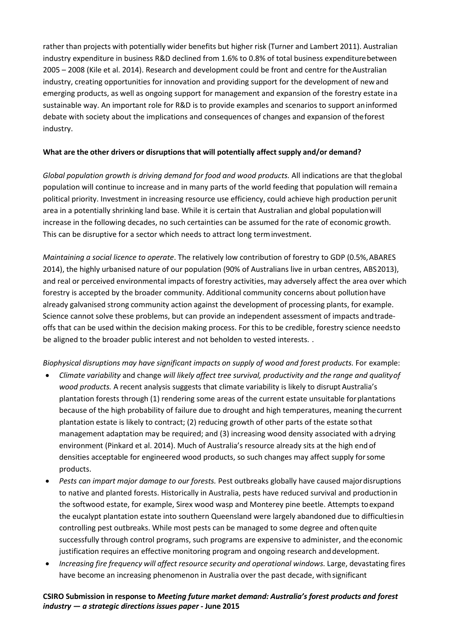rather than projects with potentially wider benefits but higher risk (Turner and Lambert 2011). Australian industry expenditure in business R&D declined from 1.6% to 0.8% of total business expenditurebetween 2005 – 2008 (Kile et al. 2014). Research and development could be front and centre for theAustralian industry, creating opportunities for innovation and providing support for the development of newand emerging products, as well as ongoing support for management and expansion of the forestry estate ina sustainable way. An important role for R&D is to provide examples and scenarios to support aninformed debate with society about the implications and consequences of changes and expansion of theforest industry.

#### **What are the other drivers or disruptions that will potentially affect supply and/or demand?**

*Global population growth is driving demand for food and wood products.* All indications are that theglobal population will continue to increase and in many parts of the world feeding that population will remaina political priority. Investment in increasing resource use efficiency, could achieve high production perunit area in a potentially shrinking land base. While it is certain that Australian and global populationwill increase in the following decades, no such certainties can be assumed for the rate of economic growth. This can be disruptive for a sector which needs to attract long terminvestment.

*Maintaining a social licence to operate*. The relatively low contribution of forestry to GDP (0.5%,ABARES 2014), the highly urbanised nature of our population (90% of Australians live in urban centres, ABS2013), and real or perceived environmental impacts of forestry activities, may adversely affect the area over which forestry is accepted by the broader community. Additional community concerns about pollutionhave already galvanised strong community action against the development of processing plants, for example. Science cannot solve these problems, but can provide an independent assessment of impacts andtradeoffs that can be used within the decision making process. For this to be credible, forestry science needsto be aligned to the broader public interest and not beholden to vested interests. .

*Biophysical disruptions may have significant impacts on supply of wood and forest products.* For example:

- *Climate variability* and change *will likely affect tree survival, productivity and the range and qualityof wood products.* A recent analysis suggests that climate variability is likely to disrupt Australia's plantation forests through (1) rendering some areas of the current estate unsuitable forplantations because of the high probability of failure due to drought and high temperatures, meaning thecurrent plantation estate is likely to contract; (2) reducing growth of other parts of the estate sothat management adaptation may be required; and (3) increasing wood density associated with adrying environment (Pinkard et al. 2014). Much of Australia's resource already sits at the high end of densities acceptable for engineered wood products, so such changes may affect supply forsome products.
- *Pests can impart major damage to our forests.* Pest outbreaks globally have caused majordisruptions to native and planted forests. Historically in Australia, pests have reduced survival and productionin the softwood estate, for example, Sirex wood wasp and Monterey pine beetle. Attempts toexpand the eucalypt plantation estate into southern Queensland were largely abandoned due to difficultiesin controlling pest outbreaks. While most pests can be managed to some degree and oftenquite successfully through control programs, such programs are expensive to administer, and theeconomic justification requires an effective monitoring program and ongoing research anddevelopment.
- *Increasing fire frequency will affect resource security and operational windows.* Large, devastating fires have become an increasing phenomenon in Australia over the past decade, withsignificant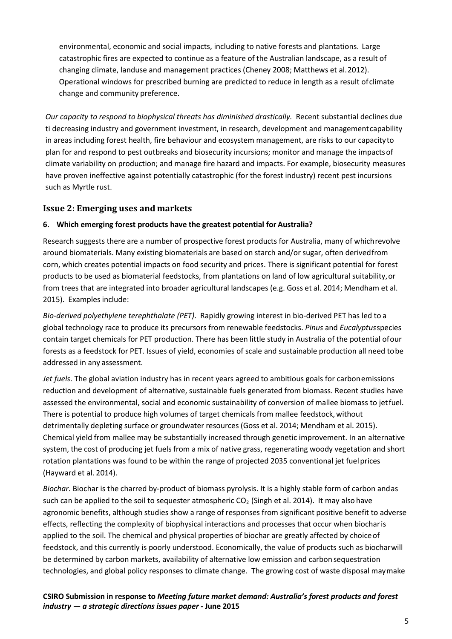environmental, economic and social impacts, including to native forests and plantations. Large catastrophic fires are expected to continue as a feature of the Australian landscape, as a result of changing climate, landuse and management practices (Cheney 2008; Matthews et al.2012). Operational windows for prescribed burning are predicted to reduce in length as a result ofclimate change and community preference.

*Our capacity to respond to biophysical threats has diminished drastically.* Recent substantial declines due ti decreasing industry and government investment, in research, development and managementcapability in areas including forest health, fire behaviour and ecosystem management, are risks to our capacityto plan for and respond to pest outbreaks and biosecurity incursions; monitor and manage the impactsof climate variability on production; and manage fire hazard and impacts. For example, biosecurity measures have proven ineffective against potentially catastrophic (for the forest industry) recent pest incursions such as Myrtle rust.

## **Issue 2: Emerging uses and markets**

## **6. Which emerging forest products have the greatest potential for Australia?**

Research suggests there are a number of prospective forest products for Australia, many of whichrevolve around biomaterials. Many existing biomaterials are based on starch and/or sugar, often derivedfrom corn, which creates potential impacts on food security and prices. There is significant potential for forest products to be used as biomaterial feedstocks, from plantations on land of low agricultural suitability,or from trees that are integrated into broader agricultural landscapes (e.g. Goss et al. 2014; Mendham et al. 2015). Examples include:

*Bio-derived polyethylene terephthalate (PET)*. Rapidly growing interest in bio-derived PET has led to a global technology race to produce its precursors from renewable feedstocks. *Pinus* and *Eucalyptus*species contain target chemicals for PET production. There has been little study in Australia of the potential ofour forests as a feedstock for PET. Issues of yield, economies of scale and sustainable production all need tobe addressed in any assessment.

*Jet fuels*. The global aviation industry has in recent years agreed to ambitious goals for carbonemissions reduction and development of alternative, sustainable fuels generated from biomass. Recent studies have assessed the environmental, social and economic sustainability of conversion of mallee biomass to jetfuel. There is potential to produce high volumes of target chemicals from mallee feedstock, without detrimentally depleting surface or groundwater resources (Goss et al. 2014; Mendham et al. 2015). Chemical yield from mallee may be substantially increased through genetic improvement. In an alternative system, the cost of producing jet fuels from a mix of native grass, regenerating woody vegetation and short rotation plantations was found to be within the range of projected 2035 conventional jet fuelprices (Hayward et al. 2014).

*Biochar*. Biochar is the charred by-product of biomass pyrolysis. It is a highly stable form of carbon andas such can be applied to the soil to sequester atmospheric  $CO<sub>2</sub>$  (Singh et al. 2014). It may also have agronomic benefits, although studies show a range of responses from significant positive benefit to adverse effects, reflecting the complexity of biophysical interactions and processes that occur when biocharis applied to the soil. The chemical and physical properties of biochar are greatly affected by choice of feedstock, and this currently is poorly understood. Economically, the value of products such as biocharwill be determined by carbon markets, availability of alternative low emission and carbon sequestration technologies, and global policy responses to climate change. The growing cost of waste disposal maymake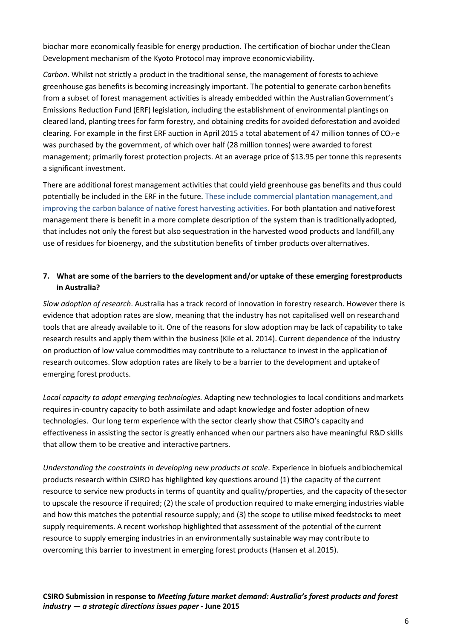biochar more economically feasible for energy production. The certification of biochar under theClean Development mechanism of the Kyoto Protocol may improve economicviability.

*Carbon*. Whilst not strictly a product in the traditional sense, the management of forests toachieve greenhouse gas benefits is becoming increasingly important. The potential to generate carbonbenefits from a subset of forest management activities is already embedded within the AustralianGovernment's Emissions Reduction Fund (ERF) legislation, including the establishment of environmental plantingson cleared land, planting trees for farm forestry, and obtaining credits for avoided deforestation and avoided clearing. For example in the first ERF auction in April 2015 a total abatement of 47 million tonnes of CO<sub>2</sub>-e was purchased by the government, of which over half (28 million tonnes) were awarded to forest management; primarily forest protection projects. At an average price of \$13.95 per tonne this represents a significant investment.

There are additional forest management activities that could yield greenhouse gas benefits and thus could potentially be included in the ERF in the future. These include commercial plantation management, and improving the carbon balance of native forest harvesting activities. For both plantation and nativeforest management there is benefit in a more complete description of the system than is traditionallyadopted, that includes not only the forest but also sequestration in the harvested wood products and landfill,any use of residues for bioenergy, and the substitution benefits of timber products overalternatives.

## **7. What are some of the barriers to the development and/or uptake of these emerging forestproducts in Australia?**

*Slow adoption of research*. Australia has a track record of innovation in forestry research. However there is evidence that adoption rates are slow, meaning that the industry has not capitalised well on researchand tools that are already available to it. One of the reasons for slow adoption may be lack of capability to take research results and apply them within the business (Kile et al. 2014). Current dependence of the industry on production of low value commodities may contribute to a reluctance to invest in the applicationof research outcomes. Slow adoption rates are likely to be a barrier to the development and uptakeof emerging forest products.

*Local capacity to adapt emerging technologies.* Adapting new technologies to local conditions andmarkets requires in-country capacity to both assimilate and adapt knowledge and foster adoption of new technologies. Our long term experience with the sector clearly show that CSIRO's capacity and effectiveness in assisting the sector is greatly enhanced when our partners also have meaningful R&D skills that allow them to be creative and interactive partners.

*Understanding the constraints in developing new products at scale*. Experience in biofuels andbiochemical products research within CSIRO has highlighted key questions around (1) the capacity of the current resource to service new products in terms of quantity and quality/properties, and the capacity of thesector to upscale the resource if required; (2) the scale of production required to make emerging industries viable and how this matches the potential resource supply; and (3) the scope to utilise mixed feedstocks to meet supply requirements. A recent workshop highlighted that assessment of the potential of the current resource to supply emerging industries in an environmentally sustainable way may contribute to overcoming this barrier to investment in emerging forest products (Hansen et al.2015).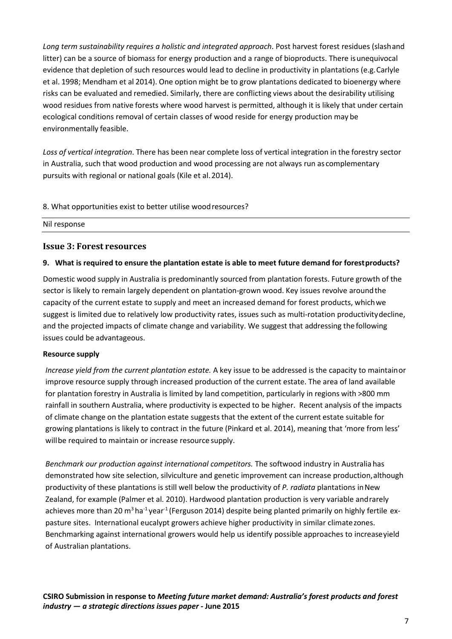*Long term sustainability requires a holistic and integrated approach*. Post harvest forest residues (slashand litter) can be a source of biomass for energy production and a range of bioproducts. There isunequivocal evidence that depletion of such resources would lead to decline in productivity in plantations (e.g. Carlyle et al. 1998; Mendham et al 2014). One option might be to grow plantations dedicated to bioenergy where risks can be evaluated and remedied. Similarly, there are conflicting views about the desirability utilising wood residues from native forests where wood harvest is permitted, although it is likely that under certain ecological conditions removal of certain classes of wood reside for energy production may be environmentally feasible.

*Loss of vertical integration*. There has been near complete loss of vertical integration in the forestry sector in Australia, such that wood production and wood processing are not always run as complementary pursuits with regional or national goals (Kile et al.2014).

8. What opportunities exist to better utilise woodresources?

Nil response

#### **Issue 3: Forest resources**

#### **9. What is required to ensure the plantation estate is able to meet future demand for forestproducts?**

Domestic wood supply in Australia is predominantly sourced from plantation forests. Future growth of the sector is likely to remain largely dependent on plantation-grown wood. Key issues revolve aroundthe capacity of the current estate to supply and meet an increased demand for forest products, whichwe suggest is limited due to relatively low productivity rates, issues such as multi-rotation productivitydecline, and the projected impacts of climate change and variability. We suggest that addressing the following issues could be advantageous.

#### **Resource supply**

*Increase yield from the current plantation estate.* A key issue to be addressed is the capacity to maintainor improve resource supply through increased production of the current estate. The area of land available for plantation forestry in Australia is limited by land competition, particularly in regions with >800 mm rainfall in southern Australia, where productivity is expected to be higher. Recent analysis of the impacts of climate change on the plantation estate suggests that the extent of the current estate suitable for growing plantations is likely to contract in the future (Pinkard et al. 2014), meaning that 'more from less' willbe required to maintain or increase resource supply.

*Benchmark our production against international competitors.* The softwood industry in Australia has demonstrated how site selection, silviculture and genetic improvement can increase production,although productivity of these plantations is still well below the productivity of *P. radiata* plantations inNew Zealand, for example (Palmer et al. 2010). Hardwood plantation production is very variable andrarely achieves more than 20 m<sup>3</sup> ha<sup>-1</sup> year<sup>-1</sup> (Ferguson 2014) despite being planted primarily on highly fertile expasture sites. International eucalypt growers achieve higher productivity in similar climatezones. Benchmarking against international growers would help us identify possible approaches to increaseyield of Australian plantations.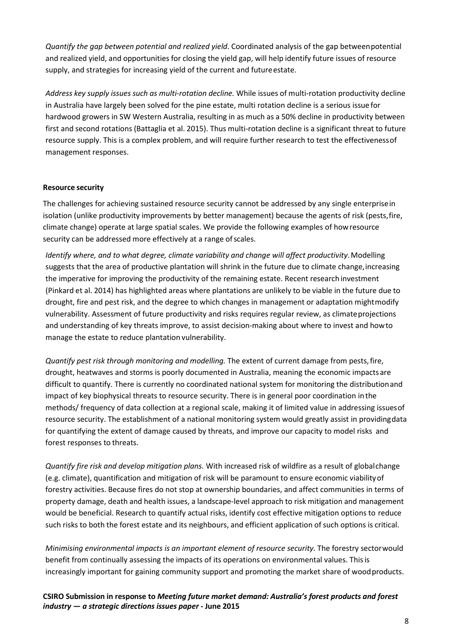*Quantify the gap between potential and realized yield*. Coordinated analysis of the gap betweenpotential and realized yield, and opportunities for closing the yield gap, will help identify future issues of resource supply, and strategies for increasing yield of the current and future estate.

*Address key supply issues such as multi-rotation decline.* While issues of multi-rotation productivity decline in Australia have largely been solved for the pine estate, multi rotation decline is a serious issue for hardwood growers in SW Western Australia, resulting in as much as a 50% decline in productivity between first and second rotations (Battaglia et al. 2015). Thus multi-rotation decline is a significant threat to future resource supply. This is a complex problem, and will require further research to test the effectivenessof management responses.

#### **Resource security**

The challenges for achieving sustained resource security cannot be addressed by any single enterprisein isolation (unlike productivity improvements by better management) because the agents of risk (pests, fire, climate change) operate at large spatial scales. We provide the following examples of howresource security can be addressed more effectively at a range of scales.

*Identify where, and to what degree, climate variability and change will affect productivity*.Modelling suggests that the area of productive plantation will shrink in the future due to climate change, increasing the imperative for improving the productivity of the remaining estate. Recent research investment (Pinkard et al. 2014) has highlighted areas where plantations are unlikely to be viable in the future due to drought, fire and pest risk, and the degree to which changes in management or adaptation mightmodify vulnerability. Assessment of future productivity and risks requires regular review, as climateprojections and understanding of key threats improve, to assist decision-making about where to invest and howto manage the estate to reduce plantation vulnerability.

*Quantify pest risk through monitoring and modelling.* The extent of current damage from pests,fire, drought, heatwaves and storms is poorly documented in Australia, meaning the economic impactsare difficult to quantify. There is currently no coordinated national system for monitoring the distributionand impact of key biophysical threats to resource security. There is in general poor coordination inthe methods/ frequency of data collection at a regional scale, making it of limited value in addressing issuesof resource security. The establishment of a national monitoring system would greatly assist in providingdata for quantifying the extent of damage caused by threats, and improve our capacity to model risks and forest responses to threats.

*Quantify fire risk and develop mitigation plans.* With increased risk of wildfire as a result of globalchange (e.g. climate), quantification and mitigation of risk will be paramount to ensure economic viabilityof forestry activities. Because fires do not stop at ownership boundaries, and affect communities in terms of property damage, death and health issues, a landscape-level approach to risk mitigation and management would be beneficial. Research to quantify actual risks, identify cost effective mitigation options to reduce such risks to both the forest estate and its neighbours, and efficient application of such options is critical.

*Minimising environmental impacts is an important element of resource security.* The forestry sectorwould benefit from continually assessing the impacts of its operations on environmental values. Thisis increasingly important for gaining community support and promoting the market share of woodproducts.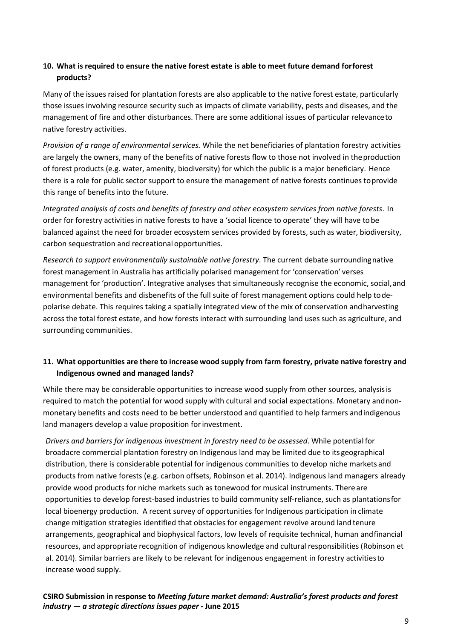## **10. What is required to ensure the native forest estate is able to meet future demand forforest products?**

Many of the issues raised for plantation forests are also applicable to the native forest estate, particularly those issues involving resource security such as impacts of climate variability, pests and diseases, and the management of fire and other disturbances. There are some additional issues of particular relevanceto native forestry activities.

*Provision of a range of environmental services.* While the net beneficiaries of plantation forestry activities are largely the owners, many of the benefits of native forests flow to those not involved in theproduction of forest products (e.g. water, amenity, biodiversity) for which the public is a major beneficiary. Hence there is a role for public sector support to ensure the management of native forests continues toprovide this range of benefits into the future.

*Integrated analysis of costs and benefits of forestry and other ecosystem services from native forests*. In order for forestry activities in native forests to have a 'social licence to operate' they will have tobe balanced against the need for broader ecosystem services provided by forests, such as water, biodiversity, carbon sequestration and recreational opportunities.

*Research to support environmentally sustainable native forestry*. The current debate surroundingnative forest management in Australia has artificially polarised management for 'conservation' verses management for 'production'. Integrative analyses that simultaneously recognise the economic, social,and environmental benefits and disbenefits of the full suite of forest management options could help todepolarise debate. This requires taking a spatially integrated view of the mix of conservation andharvesting across the total forest estate, and how forests interact with surrounding land uses such as agriculture, and surrounding communities.

## **11. What opportunities are there to increase wood supply from farm forestry, private native forestry and Indigenous owned and managed lands?**

While there may be considerable opportunities to increase wood supply from other sources, analysis is required to match the potential for wood supply with cultural and social expectations. Monetary andnonmonetary benefits and costs need to be better understood and quantified to help farmers andindigenous land managers develop a value proposition for investment.

*Drivers and barriers for indigenous investment in forestry need to be assessed*. While potentialfor broadacre commercial plantation forestry on Indigenous land may be limited due to its geographical distribution, there is considerable potential for indigenous communities to develop niche markets and products from native forests (e.g. carbon offsets, Robinson et al. 2014). Indigenous land managers already provide wood products for niche markets such as tonewood for musical instruments. There are opportunities to develop forest-based industries to build community self-reliance, such as plantationsfor local bioenergy production. A recent survey of opportunities for Indigenous participation in climate change mitigation strategies identified that obstacles for engagement revolve around land tenure arrangements, geographical and biophysical factors, low levels of requisite technical, human andfinancial resources, and appropriate recognition of indigenous knowledge and cultural responsibilities (Robinson et al. 2014). Similar barriers are likely to be relevant for indigenous engagement in forestry activitiesto increase wood supply.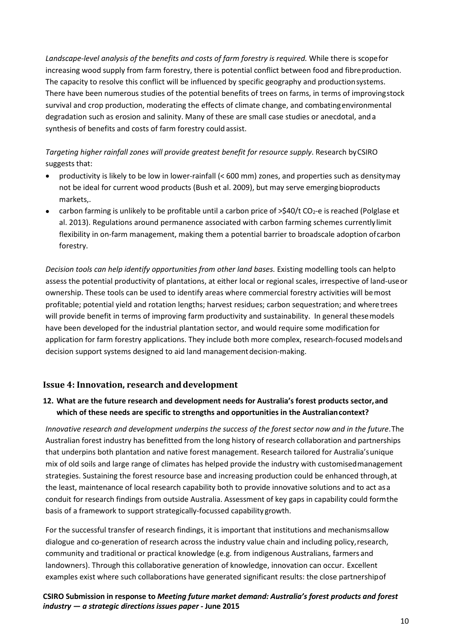Landscape-level analysis of the benefits and costs of farm forestry is required. While there is scope for increasing wood supply from farm forestry, there is potential conflict between food and fibreproduction. The capacity to resolve this conflict will be influenced by specific geography and productionsystems. There have been numerous studies of the potential benefits of trees on farms, in terms of improvingstock survival and crop production, moderating the effects of climate change, and combatingenvironmental degradation such as erosion and salinity. Many of these are small case studies or anecdotal, anda synthesis of benefits and costs of farm forestry couldassist.

*Targeting higher rainfall zones will provide greatest benefit for resource supply*. Research byCSIRO suggests that:

- productivity is likely to be low in lower-rainfall (< 600 mm) zones, and properties such as densitymay not be ideal for current wood products (Bush et al. 2009), but may serve emergingbioproducts markets,.
- carbon farming is unlikely to be profitable until a carbon price of >\$40/t CO<sub>2</sub>-e is reached (Polglase et al. 2013). Regulations around permanence associated with carbon farming schemes currentlylimit flexibility in on-farm management, making them a potential barrier to broadscale adoption ofcarbon forestry.

*Decision tools can help identify opportunities from other land bases.* Existing modelling tools can helpto assess the potential productivity of plantations, at either local or regional scales, irrespective of land-useor ownership. These tools can be used to identify areas where commercial forestry activities will bemost profitable; potential yield and rotation lengths; harvest residues; carbon sequestration; and wheretrees will provide benefit in terms of improving farm productivity and sustainability. In general thesemodels have been developed for the industrial plantation sector, and would require some modification for application for farm forestry applications. They include both more complex, research-focused modelsand decision support systems designed to aid land managementdecision-making.

## **Issue 4: Innovation, research and development**

## **12. What are the future research and development needs for Australia's forest products sector,and which of these needs are specific to strengths and opportunities in the Australiancontext?**

*Innovative research and development underpins the success of the forest sector now and in the future*.The Australian forest industry has benefitted from the long history of research collaboration and partnerships that underpins both plantation and native forest management. Research tailored for Australia'sunique mix of old soils and large range of climates has helped provide the industry with customisedmanagement strategies. Sustaining the forest resource base and increasing production could be enhanced through,at the least, maintenance of local research capability both to provide innovative solutions and to act asa conduit for research findings from outside Australia. Assessment of key gaps in capability could formthe basis of a framework to support strategically-focussed capability growth.

For the successful transfer of research findings, it is important that institutions and mechanismsallow dialogue and co-generation of research across the industry value chain and including policy,research, community and traditional or practical knowledge (e.g. from indigenous Australians, farmers and landowners). Through this collaborative generation of knowledge, innovation can occur. Excellent examples exist where such collaborations have generated significant results: the close partnershipof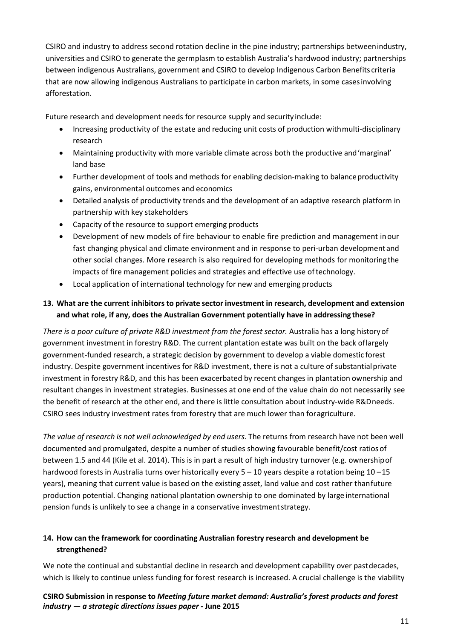CSIRO and industry to address second rotation decline in the pine industry; partnerships betweenindustry, universities and CSIRO to generate the germplasm to establish Australia's hardwood industry; partnerships between indigenous Australians, government and CSIRO to develop Indigenous Carbon Benefits criteria that are now allowing indigenous Australians to participate in carbon markets, in some casesinvolving afforestation.

Future research and development needs for resource supply and security include:

- Increasing productivity of the estate and reducing unit costs of production withmulti-disciplinary research
- Maintaining productivity with more variable climate across both the productive and'marginal' land base
- Further development of tools and methods for enabling decision-making to balanceproductivity gains, environmental outcomes and economics
- Detailed analysis of productivity trends and the development of an adaptive research platform in partnership with key stakeholders
- Capacity of the resource to support emerging products
- Development of new models of fire behaviour to enable fire prediction and management inour fast changing physical and climate environment and in response to peri-urban developmentand other social changes. More research is also required for developing methods for monitoringthe impacts of fire management policies and strategies and effective use oftechnology.
- Local application of international technology for new and emerging products

## **13. What are the current inhibitors to private sector investment in research, development and extension and what role, if any, does the Australian Government potentially have in addressing these?**

*There is a poor culture of private R&D investment from the forest sector.* Australia has a long history of government investment in forestry R&D. The current plantation estate was built on the back oflargely government-funded research, a strategic decision by government to develop a viable domestic forest industry. Despite government incentives for R&D investment, there is not a culture of substantialprivate investment in forestry R&D, and this has been exacerbated by recent changes in plantation ownership and resultant changes in investment strategies. Businesses at one end of the value chain do not necessarily see the benefit of research at the other end, and there is little consultation about industry-wide R&Dneeds. CSIRO sees industry investment rates from forestry that are much lower than foragriculture.

*The value of research is not well acknowledged by end users.* The returns from research have not been well documented and promulgated, despite a number of studies showing favourable benefit/cost ratios of between 1.5 and 44 (Kile et al. 2014). This is in part a result of high industry turnover (e.g. ownershipof hardwood forests in Australia turns over historically every 5 – 10 years despite a rotation being 10 – 15 years), meaning that current value is based on the existing asset, land value and cost rather thanfuture production potential. Changing national plantation ownership to one dominated by large international pension funds is unlikely to see a change in a conservative investmentstrategy.

## **14. How can the framework for coordinating Australian forestry research and development be strengthened?**

We note the continual and substantial decline in research and development capability over pastdecades, which is likely to continue unless funding for forest research is increased. A crucial challenge is the viability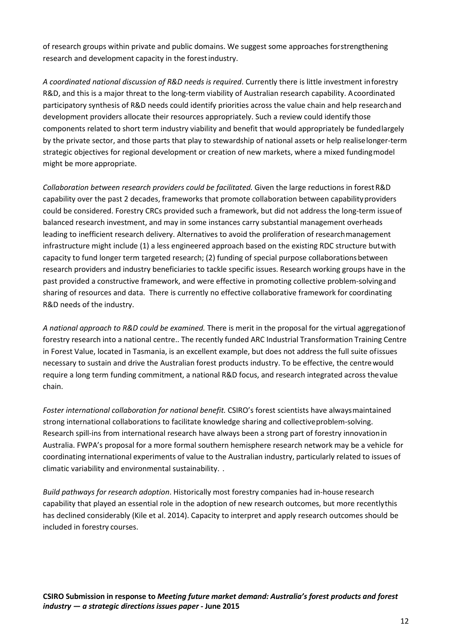of research groups within private and public domains. We suggest some approaches forstrengthening research and development capacity in the forestindustry.

*A coordinated national discussion of R&D needs is required*. Currently there is little investment inforestry R&D, and this is a major threat to the long-term viability of Australian research capability. Acoordinated participatory synthesis of R&D needs could identify priorities across the value chain and help researchand development providers allocate their resources appropriately. Such a review could identify those components related to short term industry viability and benefit that would appropriately be fundedlargely by the private sector, and those parts that play to stewardship of national assets or help realiselonger-term strategic objectives for regional development or creation of new markets, where a mixed fundingmodel might be more appropriate.

*Collaboration between research providers could be facilitated.* Given the large reductions in forestR&D capability over the past 2 decades, frameworks that promote collaboration between capabilityproviders could be considered. Forestry CRCs provided such a framework, but did not address the long-term issueof balanced research investment, and may in some instances carry substantial management overheads leading to inefficient research delivery. Alternatives to avoid the proliferation of researchmanagement infrastructure might include (1) a less engineered approach based on the existing RDC structure butwith capacity to fund longer term targeted research; (2) funding of special purpose collaborationsbetween research providers and industry beneficiaries to tackle specific issues. Research working groups have in the past provided a constructive framework, and were effective in promoting collective problem-solvingand sharing of resources and data. There is currently no effective collaborative framework for coordinating R&D needs of the industry.

*A national approach to R&D could be examined.* There is merit in the proposal for the virtual aggregationof forestry research into a national centre.. The recently funded ARC Industrial Transformation Training Centre in Forest Value, located in Tasmania, is an excellent example, but does not address the full suite ofissues necessary to sustain and drive the Australian forest products industry. To be effective, the centrewould require a long term funding commitment, a national R&D focus, and research integrated across thevalue chain.

*Foster international collaboration for national benefit.* CSIRO's forest scientists have alwaysmaintained strong international collaborations to facilitate knowledge sharing and collectiveproblem-solving. Research spill-ins from international research have always been a strong part of forestry innovationin Australia. FWPA's proposal for a more formal southern hemisphere research network may be a vehicle for coordinating international experiments of value to the Australian industry, particularly related to issues of climatic variability and environmental sustainability. .

*Build pathways for research adoption*. Historically most forestry companies had in-house research capability that played an essential role in the adoption of new research outcomes, but more recentlythis has declined considerably (Kile et al. 2014). Capacity to interpret and apply research outcomes should be included in forestry courses.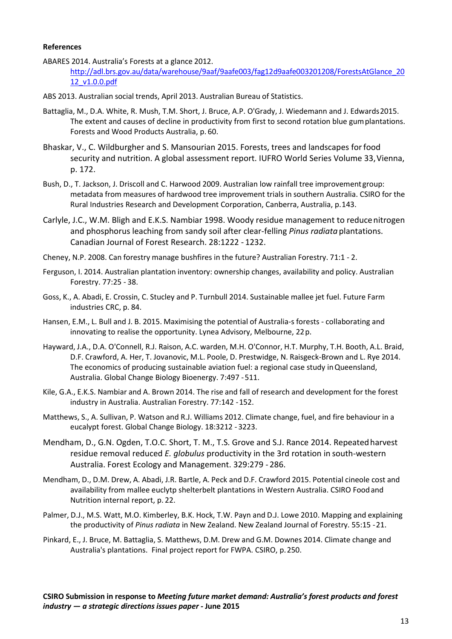#### **References**

- ABARES 2014. Australia's Forests at a glance 2012. [http://adl.brs.gov.au/data/warehouse/9aaf/9aafe003/fag12d9aafe003201208/ForestsAtGlance\\_20](http://adl.brs.gov.au/data/warehouse/9aaf/9aafe003/fag12d9aafe003201208/ForestsAtGlance_2012_v1.0.0.pdf) [12\\_v1.0.0.pdf](http://adl.brs.gov.au/data/warehouse/9aaf/9aafe003/fag12d9aafe003201208/ForestsAtGlance_2012_v1.0.0.pdf)
- ABS 2013. Australian social trends, April 2013. Australian Bureau of Statistics.
- Battaglia, M., D.A. White, R. Mush, T.M. Short, J. Bruce, A.P. O'Grady, J. Wiedemann and J. Edwards2015. The extent and causes of decline in productivity from first to second rotation blue gumplantations. Forests and Wood Products Australia, p. 60.
- Bhaskar, V., C. Wildburgher and S. Mansourian 2015. Forests, trees and landscapes forfood security and nutrition. A global assessment report. IUFRO World Series Volume 33,Vienna, p. 172.
- Bush, D., T. Jackson, J. Driscoll and C. Harwood 2009. Australian low rainfall tree improvementgroup: metadata from measures of hardwood tree improvement trials in southern Australia. CSIRO for the Rural Industries Research and Development Corporation, Canberra, Australia, p.143.
- Carlyle, J.C., W.M. Bligh and E.K.S. Nambiar 1998. Woody residue management to reducenitrogen and phosphorus leaching from sandy soil after clear-felling *Pinus radiata* plantations. Canadian Journal of Forest Research. 28:1222 - 1232.
- Cheney, N.P. 2008. Can forestry manage bushfires in the future? Australian Forestry. 71:1 2.
- Ferguson, I. 2014. Australian plantation inventory: ownership changes, availability and policy. Australian Forestry. 77:25 - 38.
- Goss, K., A. Abadi, E. Crossin, C. Stucley and P. Turnbull 2014. Sustainable mallee jet fuel. Future Farm industries CRC, p. 84.
- Hansen, E.M., L. Bull and J. B. 2015. Maximising the potential of Australia-s forests collaborating and innovating to realise the opportunity. Lynea Advisory, Melbourne, 22p.
- Hayward, J.A., D.A. O'Connell, R.J. Raison, A.C. warden, M.H. O'Connor, H.T. Murphy, T.H. Booth, A.L. Braid, D.F. Crawford, A. Her, T. Jovanovic, M.L. Poole, D. Prestwidge, N. Raisgeck-Brown and L. Rye 2014. The economics of producing sustainable aviation fuel: a regional case study inQueensland, Australia. Global Change Biology Bioenergy. 7:497 -511.
- Kile, G.A., E.K.S. Nambiar and A. Brown 2014. The rise and fall of research and development for the forest industry in Australia. Australian Forestry. 77:142 -152.
- Matthews, S., A. Sullivan, P. Watson and R.J. Williams 2012. Climate change, fuel, and fire behaviour in a eucalypt forest. Global Change Biology. 18:3212 - 3223.
- Mendham, D., G.N. Ogden, T.O.C. Short, T. M., T.S. Grove and S.J. Rance 2014. Repeatedharvest residue removal reduced *E. globulus* productivity in the 3rd rotation in south-western Australia. Forest Ecology and Management. 329:279 - 286.
- Mendham, D., D.M. Drew, A. Abadi, J.R. Bartle, A. Peck and D.F. Crawford 2015. Potential cineole cost and availability from mallee euclytp shelterbelt plantations in Western Australia. CSIRO Foodand Nutrition internal report, p. 22.
- Palmer, D.J., M.S. Watt, M.O. Kimberley, B.K. Hock, T.W. Payn and D.J. Lowe 2010. Mapping and explaining the productivity of *Pinus radiata* in New Zealand. New Zealand Journal of Forestry. 55:15 -21.
- Pinkard, E., J. Bruce, M. Battaglia, S. Matthews, D.M. Drew and G.M. Downes 2014. Climate change and Australia's plantations. Final project report for FWPA. CSIRO, p.250.